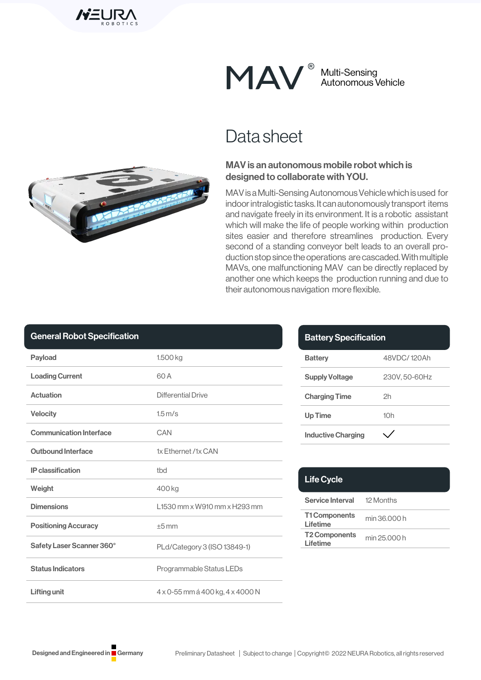

Multi-Sensing Autonomous Vehicle

## Data sheet

### MAV is an autonomous mobile robot which is designed to collaborate with YOU.

MAV is a Multi-Sensing Autonomous Vehicle which is used for indoor intralogistic tasks. It can autonomously transport items and navigate freely in its environment. It is a robotic assistant which will make the life of people working within production sites easier and therefore streamlines production. Every second of a standing conveyor belt leads to an overall production stop since the operations are cascaded. With multiple MAVs, one malfunctioning MAV can be directly replaced by another one which keeps the production running and due to their autonomous navigation more flexible.

| <b>General Robot Specification</b> |  |  |
|------------------------------------|--|--|
|                                    |  |  |

| <b>Payload</b>                 | 1.500 kg                         |  |
|--------------------------------|----------------------------------|--|
| <b>Loading Current</b>         | 60 A                             |  |
| Actuation                      | Differential Drive               |  |
| <b>Velocity</b>                | $1.5 \,\mathrm{m/s}$             |  |
| <b>Communication Interface</b> | CAN                              |  |
| <b>Outbound Interface</b>      | 1x Ethernet /1x CAN              |  |
| <b>IP</b> classification       | thd                              |  |
| Weight                         | 400 kg                           |  |
| <b>Dimensions</b>              | L1530 mm x W910 mm x H293 mm     |  |
| <b>Positioning Accuracy</b>    | $+5$ mm                          |  |
| Safety Laser Scanner 360°      | PLd/Category 3 (ISO 13849-1)     |  |
| <b>Status Indicators</b>       | Programmable Status LEDs         |  |
| <b>Lifting unit</b>            | 4 x 0-55 mm á 400 kg, 4 x 4000 N |  |

| <b>Battery Specification</b> |              |  |
|------------------------------|--------------|--|
| <b>Battery</b>               | 48VDC/120Ah  |  |
| <b>Supply Voltage</b>        | 230V.50-60Hz |  |
| <b>Charging Time</b>         | 2h           |  |
| <b>Up Time</b>               | 10h          |  |
| <b>Inductive Charging</b>    |              |  |

| <b>Life Cycle</b>                 |              |
|-----------------------------------|--------------|
| <b>Service Interval</b> 12 Months |              |
| <b>T1 Components</b><br>Lifetime  | min 36.000 h |
| <b>T2 Components</b><br>Lifetime  | min 25.000 h |